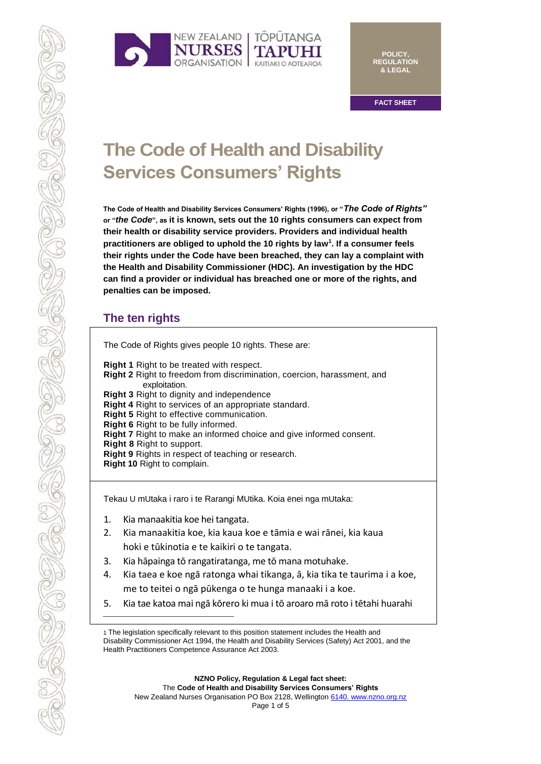

**POLICY, REGULATION & LEGAL**

**FACT SHEET**

# **The Code of Health and Disability Services Consumers' Rights**

**The Code of Health and Disability Services Consumers' Rights (1996), or "***The Code of Rights"*  **or "***the Code***", as it is known, sets out the 10 rights consumers can expect from their health or disability service providers. Providers and individual health practitioners are obliged to uphold the 10 rights by law<sup>1</sup> . If a consumer feels their rights under the Code have been breached, they can lay a complaint with the Health and Disability Commissioner (HDC). An investigation by the HDC can find a provider or individual has breached one or more of the rights, and penalties can be imposed.**

## **The ten rights**

| The Code of Rights gives people 10 rights. These are:                                                                                                                                                                                                                                                                                                                                                |  |
|------------------------------------------------------------------------------------------------------------------------------------------------------------------------------------------------------------------------------------------------------------------------------------------------------------------------------------------------------------------------------------------------------|--|
| <b>Right 1</b> Right to be treated with respect.<br><b>Right 2</b> Right to freedom from discrimination, coercion, harassment, and<br>exploitation.                                                                                                                                                                                                                                                  |  |
| <b>Right 3</b> Right to dignity and independence<br>Right 4 Right to services of an appropriate standard.<br>Right 5 Right to effective communication.<br>Right 6 Right to be fully informed.<br><b>Right 7</b> Right to make an informed choice and give informed consent.<br>Right 8 Right to support.<br>Right 9 Rights in respect of teaching or research.<br><b>Right 10 Right to complain.</b> |  |

Tekau U mUtaka i raro i te Rarangi MUtika. Koia ënei nga mUtaka:

- 1. Kia manaakitia koe hei tangata.
- 2. Kia manaakitia koe, kia kaua koe e tāmia e wai rānei, kia kaua hoki e tūkinotia e te kaikiri o te tangata.
- 3. Kia hāpainga tō rangatiratanga, me tō mana motuhake.
- 4. Kia taea e koe ngā ratonga whai tikanga, ā, kia tika te taurima i a koe, me to teitei o ngā pūkenga o te hunga manaaki i a koe.
- 5. Kia tae katoa mai ngā kōrero ki mua i tō aroaro mā roto i tētahi huarahi

**NZNO Policy, Regulation & Legal fact sheet:** The **Code of Health and Disability Services Consumers' Rights** New Zealand Nurses Organisation PO Box 2128, Wellington [6140. www.nzno.org.nz](http://6140.www.nzno.org.nz/) Page 1 of 5

<sup>1</sup> The legislation specifically relevant to this position statement includes the Health and Disability Commissioner Act 1994, the Health and Disability Services (Safety) Act 2001, and the Health Practitioners Competence Assurance Act 2003.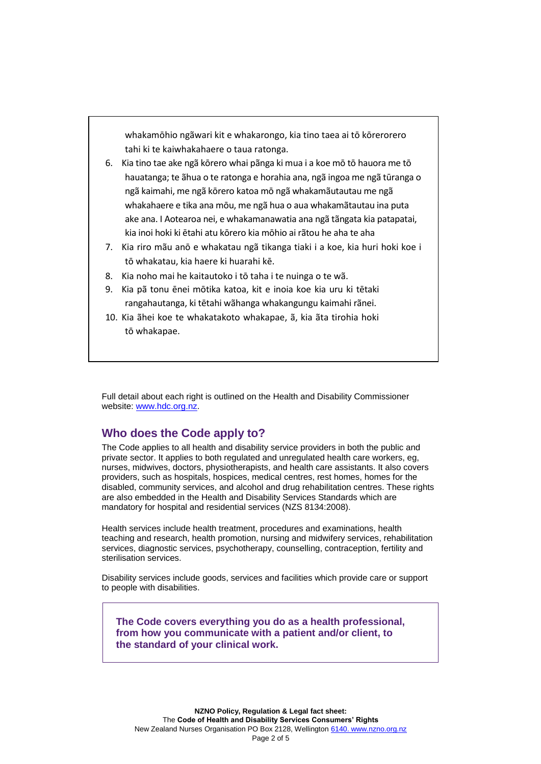whakamōhio ngãwari kit e whakarongo, kia tino taea ai tō kōrerorero tahi ki te kaiwhakahaere o taua ratonga.

- 6. Kia tino tae ake ngã kōrero whai pãnga ki mua i a koe mō tō hauora me tō hauatanga; te ãhua o te ratonga e horahia ana, ngã ingoa me ngã tūranga o ngã kaimahi, me ngã kōrero katoa mō ngã whakamãutautau me ngã whakahaere e tika ana mōu, me ngã hua o aua whakamãtautau ina puta ake ana. I Aotearoa nei, e whakamanawatia ana ngã tãngata kia patapatai, kia inoi hoki ki ētahi atu kōrero kia mōhio ai rãtou he aha te aha
- 7. Kia riro mãu anō e whakatau ngã tikanga tiaki i a koe, kia huri hoki koe i tō whakatau, kia haere ki huarahi kē.
- 8. Kia noho mai he kaitautoko i tō taha i te nuinga o te wã.
- 9. Kia pã tonu ēnei mōtika katoa, kit e inoia koe kia uru ki tētaki rangahautanga, ki tētahi wãhanga whakangungu kaimahi rãnei.
- 10. Kia ãhei koe te whakatakoto whakapae, ã, kia ãta tirohia hoki tō whakapae.

Full detail about each right is outlined on the Health and Disability Commissioner website: [www.hdc.org.nz.](http://www.hdc.org.nz/)

## **Who does the Code apply to?**

The Code applies to all health and disability service providers in both the public and private sector. It applies to both regulated and unregulated health care workers, eg, nurses, midwives, doctors, physiotherapists, and health care assistants. It also covers providers, such as hospitals, hospices, medical centres, rest homes, homes for the disabled, community services, and alcohol and drug rehabilitation centres. These rights are also embedded in the Health and Disability Services Standards which are mandatory for hospital and residential services (NZS 8134:2008).

Health services include health treatment, procedures and examinations, health teaching and research, health promotion, nursing and midwifery services, rehabilitation services, diagnostic services, psychotherapy, counselling, contraception, fertility and sterilisation services.

Disability services include goods, services and facilities which provide care or support to people with disabilities.

**The Code covers everything you do as a health professional, from how you communicate with a patient and/or client, to the standard of your clinical work.**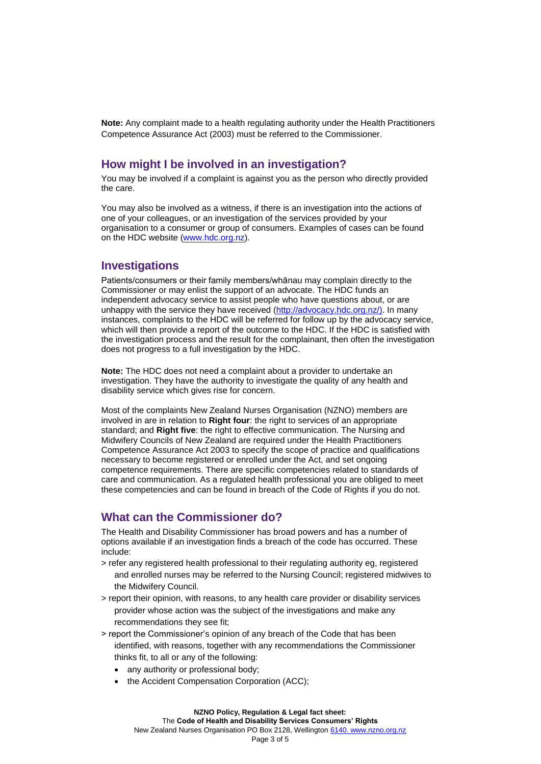**Note:** Any complaint made to a health regulating authority under the Health Practitioners Competence Assurance Act (2003) must be referred to the Commissioner.

## **How might I be involved in an investigation?**

You may be involved if a complaint is against you as the person who directly provided the care.

You may also be involved as a witness, if there is an investigation into the actions of one of your colleagues, or an investigation of the services provided by your organisation to a consumer or group of consumers. Examples of cases can be found on the HDC website [\(www.hdc.org.nz\)](http://www.hdc.org.nz/).

### **Investigations**

Patients/consumers or their family members/whānau may complain directly to the Commissioner or may enlist the support of an advocate. The HDC funds an independent advocacy service to assist people who have questions about, or are unhappy with the service they have received [\(http://advocacy.hdc.org.nz/\).](http://advocacy.hdc.org.nz/)) In many instances, complaints to the HDC will be referred for follow up by the advocacy service, which will then provide a report of the outcome to the HDC. If the HDC is satisfied with the investigation process and the result for the complainant, then often the investigation does not progress to a full investigation by the HDC.

**Note:** The HDC does not need a complaint about a provider to undertake an investigation. They have the authority to investigate the quality of any health and disability service which gives rise for concern.

Most of the complaints New Zealand Nurses Organisation (NZNO) members are involved in are in relation to **Right four**: the right to services of an appropriate standard; and **Right five**: the right to effective communication. The Nursing and Midwifery Councils of New Zealand are required under the Health Practitioners Competence Assurance Act 2003 to specify the scope of practice and qualifications necessary to become registered or enrolled under the Act, and set ongoing competence requirements. There are specific competencies related to standards of care and communication. As a regulated health professional you are obliged to meet these competencies and can be found in breach of the Code of Rights if you do not.

## **What can the Commissioner do?**

The Health and Disability Commissioner has broad powers and has a number of options available if an investigation finds a breach of the code has occurred. These include:

- > refer any registered health professional to their regulating authority eg, registered and enrolled nurses may be referred to the Nursing Council; registered midwives to the Midwifery Council.
- > report their opinion, with reasons, to any health care provider or disability services provider whose action was the subject of the investigations and make any recommendations they see fit;
- > report the Commissioner's opinion of any breach of the Code that has been identified, with reasons, together with any recommendations the Commissioner thinks fit, to all or any of the following:
	- any authority or professional body;
	- the Accident Compensation Corporation (ACC);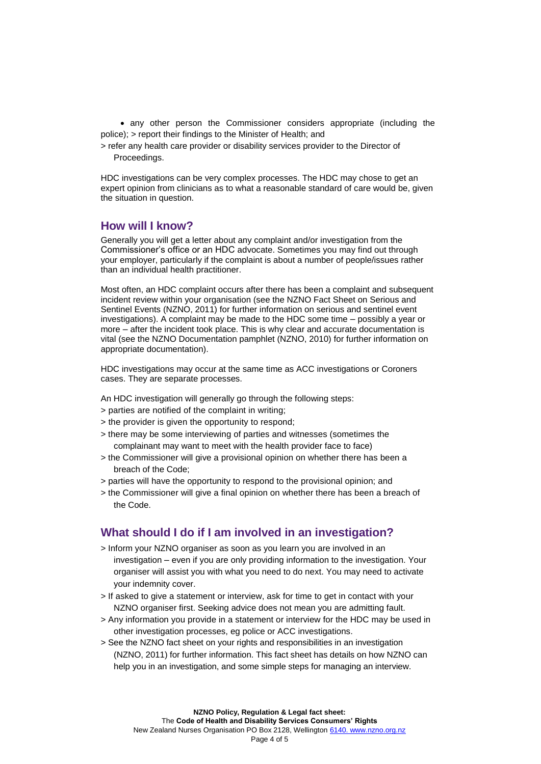• any other person the Commissioner considers appropriate (including the police); > report their findings to the Minister of Health; and

> refer any health care provider or disability services provider to the Director of Proceedings.

HDC investigations can be very complex processes. The HDC may chose to get an expert opinion from clinicians as to what a reasonable standard of care would be, given the situation in question.

#### **How will I know?**

Generally you will get a letter about any complaint and/or investigation from the Commissioner's office or an HDC advocate. Sometimes you may find out through your employer, particularly if the complaint is about a number of people/issues rather than an individual health practitioner.

Most often, an HDC complaint occurs after there has been a complaint and subsequent incident review within your organisation (see the NZNO Fact Sheet on Serious and Sentinel Events (NZNO, 2011) for further information on serious and sentinel event investigations). A complaint may be made to the HDC some time – possibly a year or more – after the incident took place. This is why clear and accurate documentation is vital (see the NZNO Documentation pamphlet (NZNO, 2010) for further information on appropriate documentation).

HDC investigations may occur at the same time as ACC investigations or Coroners cases. They are separate processes.

An HDC investigation will generally go through the following steps:

- > parties are notified of the complaint in writing;
- > the provider is given the opportunity to respond;
- > there may be some interviewing of parties and witnesses (sometimes the complainant may want to meet with the health provider face to face)
- > the Commissioner will give a provisional opinion on whether there has been a breach of the Code;
- > parties will have the opportunity to respond to the provisional opinion; and
- > the Commissioner will give a final opinion on whether there has been a breach of the Code.

## **What should I do if I am involved in an investigation?**

- > Inform your NZNO organiser as soon as you learn you are involved in an investigation – even if you are only providing information to the investigation. Your organiser will assist you with what you need to do next. You may need to activate your indemnity cover.
- > If asked to give a statement or interview, ask for time to get in contact with your NZNO organiser first. Seeking advice does not mean you are admitting fault.
- > Any information you provide in a statement or interview for the HDC may be used in other investigation processes, eg police or ACC investigations.
- > See the NZNO fact sheet on your rights and responsibilities in an investigation (NZNO, 2011) for further information. This fact sheet has details on how NZNO can help you in an investigation, and some simple steps for managing an interview.